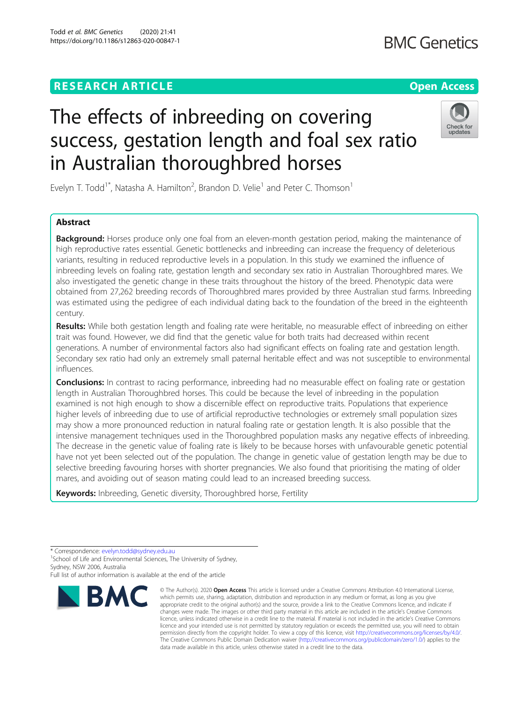# **RESEARCH ARTICLE Example 2014 12:30 The Contract of Contract ACCESS**

# The effects of inbreeding on covering success, gestation length and foal sex ratio in Australian thoroughbred horses

Evelyn T. Todd<sup>1\*</sup>, Natasha A. Hamilton<sup>2</sup>, Brandon D. Velie<sup>1</sup> and Peter C. Thomson<sup>1</sup>

# Abstract

Background: Horses produce only one foal from an eleven-month gestation period, making the maintenance of high reproductive rates essential. Genetic bottlenecks and inbreeding can increase the frequency of deleterious variants, resulting in reduced reproductive levels in a population. In this study we examined the influence of inbreeding levels on foaling rate, gestation length and secondary sex ratio in Australian Thoroughbred mares. We also investigated the genetic change in these traits throughout the history of the breed. Phenotypic data were obtained from 27,262 breeding records of Thoroughbred mares provided by three Australian stud farms. Inbreeding was estimated using the pedigree of each individual dating back to the foundation of the breed in the eighteenth century.

Results: While both gestation length and foaling rate were heritable, no measurable effect of inbreeding on either trait was found. However, we did find that the genetic value for both traits had decreased within recent generations. A number of environmental factors also had significant effects on foaling rate and gestation length. Secondary sex ratio had only an extremely small paternal heritable effect and was not susceptible to environmental influences.

**Conclusions:** In contrast to racing performance, inbreeding had no measurable effect on foaling rate or gestation length in Australian Thoroughbred horses. This could be because the level of inbreeding in the population examined is not high enough to show a discernible effect on reproductive traits. Populations that experience higher levels of inbreeding due to use of artificial reproductive technologies or extremely small population sizes may show a more pronounced reduction in natural foaling rate or gestation length. It is also possible that the intensive management techniques used in the Thoroughbred population masks any negative effects of inbreeding. The decrease in the genetic value of foaling rate is likely to be because horses with unfavourable genetic potential have not yet been selected out of the population. The change in genetic value of gestation length may be due to selective breeding favouring horses with shorter pregnancies. We also found that prioritising the mating of older mares, and avoiding out of season mating could lead to an increased breeding success.

Keywords: Inbreeding, Genetic diversity, Thoroughbred horse, Fertility

<sup>1</sup>School of Life and Environmental Sciences, The University of Sydney, Sydney, NSW 2006, Australia

Full list of author information is available at the end of the article









<sup>©</sup> The Author(s), 2020 **Open Access** This article is licensed under a Creative Commons Attribution 4.0 International License, which permits use, sharing, adaptation, distribution and reproduction in any medium or format, as long as you give appropriate credit to the original author(s) and the source, provide a link to the Creative Commons licence, and indicate if changes were made. The images or other third party material in this article are included in the article's Creative Commons licence, unless indicated otherwise in a credit line to the material. If material is not included in the article's Creative Commons licence and your intended use is not permitted by statutory regulation or exceeds the permitted use, you will need to obtain permission directly from the copyright holder. To view a copy of this licence, visit [http://creativecommons.org/licenses/by/4.0/.](http://creativecommons.org/licenses/by/4.0/) The Creative Commons Public Domain Dedication waiver [\(http://creativecommons.org/publicdomain/zero/1.0/](http://creativecommons.org/publicdomain/zero/1.0/)) applies to the data made available in this article, unless otherwise stated in a credit line to the data.

<sup>\*</sup> Correspondence: [evelyn.todd@sydney.edu.au](mailto:evelyn.todd@sydney.edu.au) <sup>1</sup>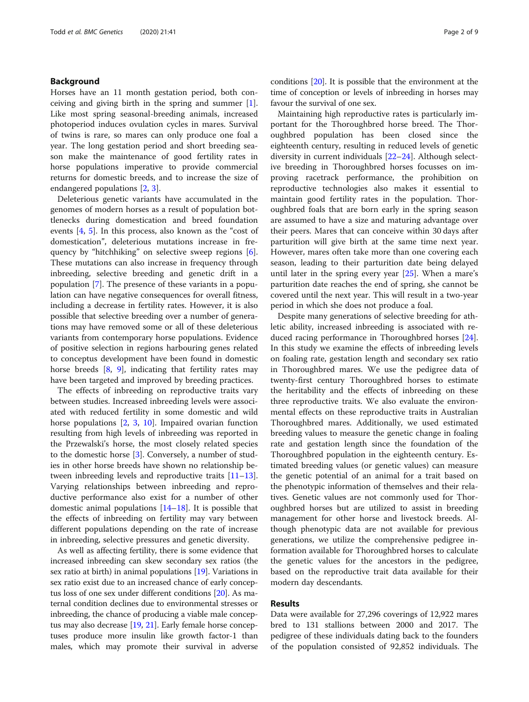# Background

Horses have an 11 month gestation period, both conceiving and giving birth in the spring and summer [\[1](#page-8-0)]. Like most spring seasonal-breeding animals, increased photoperiod induces ovulation cycles in mares. Survival of twins is rare, so mares can only produce one foal a year. The long gestation period and short breeding season make the maintenance of good fertility rates in horse populations imperative to provide commercial returns for domestic breeds, and to increase the size of endangered populations [[2,](#page-8-0) [3\]](#page-8-0).

Deleterious genetic variants have accumulated in the genomes of modern horses as a result of population bottlenecks during domestication and breed foundation events [\[4,](#page-8-0) [5\]](#page-8-0). In this process, also known as the "cost of domestication", deleterious mutations increase in frequency by "hitchhiking" on selective sweep regions [\[6](#page-8-0)]. These mutations can also increase in frequency through inbreeding, selective breeding and genetic drift in a population [[7\]](#page-8-0). The presence of these variants in a population can have negative consequences for overall fitness, including a decrease in fertility rates. However, it is also possible that selective breeding over a number of generations may have removed some or all of these deleterious variants from contemporary horse populations. Evidence of positive selection in regions harbouring genes related to conceptus development have been found in domestic horse breeds [\[8](#page-8-0), [9\]](#page-8-0), indicating that fertility rates may have been targeted and improved by breeding practices.

The effects of inbreeding on reproductive traits vary between studies. Increased inbreeding levels were associated with reduced fertility in some domestic and wild horse populations [[2](#page-8-0), [3,](#page-8-0) [10](#page-8-0)]. Impaired ovarian function resulting from high levels of inbreeding was reported in the Przewalski's horse, the most closely related species to the domestic horse [\[3](#page-8-0)]. Conversely, a number of studies in other horse breeds have shown no relationship between inbreeding levels and reproductive traits [[11](#page-8-0)–[13](#page-8-0)]. Varying relationships between inbreeding and reproductive performance also exist for a number of other domestic animal populations [\[14](#page-8-0)–[18\]](#page-8-0). It is possible that the effects of inbreeding on fertility may vary between different populations depending on the rate of increase in inbreeding, selective pressures and genetic diversity.

As well as affecting fertility, there is some evidence that increased inbreeding can skew secondary sex ratios (the sex ratio at birth) in animal populations [\[19](#page-8-0)]. Variations in sex ratio exist due to an increased chance of early conceptus loss of one sex under different conditions [[20](#page-8-0)]. As maternal condition declines due to environmental stresses or inbreeding, the chance of producing a viable male conceptus may also decrease [\[19](#page-8-0), [21\]](#page-8-0). Early female horse conceptuses produce more insulin like growth factor-1 than males, which may promote their survival in adverse conditions [\[20\]](#page-8-0). It is possible that the environment at the time of conception or levels of inbreeding in horses may favour the survival of one sex.

Maintaining high reproductive rates is particularly important for the Thoroughbred horse breed. The Thoroughbred population has been closed since the eighteenth century, resulting in reduced levels of genetic diversity in current individuals [[22](#page-8-0)–[24](#page-8-0)]. Although selective breeding in Thoroughbred horses focusses on improving racetrack performance, the prohibition on reproductive technologies also makes it essential to maintain good fertility rates in the population. Thoroughbred foals that are born early in the spring season are assumed to have a size and maturing advantage over their peers. Mares that can conceive within 30 days after parturition will give birth at the same time next year. However, mares often take more than one covering each season, leading to their parturition date being delayed until later in the spring every year  $[25]$  $[25]$ . When a mare's parturition date reaches the end of spring, she cannot be covered until the next year. This will result in a two-year period in which she does not produce a foal.

Despite many generations of selective breeding for athletic ability, increased inbreeding is associated with reduced racing performance in Thoroughbred horses [\[24](#page-8-0)]. In this study we examine the effects of inbreeding levels on foaling rate, gestation length and secondary sex ratio in Thoroughbred mares. We use the pedigree data of twenty-first century Thoroughbred horses to estimate the heritability and the effects of inbreeding on these three reproductive traits. We also evaluate the environmental effects on these reproductive traits in Australian Thoroughbred mares. Additionally, we used estimated breeding values to measure the genetic change in foaling rate and gestation length since the foundation of the Thoroughbred population in the eighteenth century. Estimated breeding values (or genetic values) can measure the genetic potential of an animal for a trait based on the phenotypic information of themselves and their relatives. Genetic values are not commonly used for Thoroughbred horses but are utilized to assist in breeding management for other horse and livestock breeds. Although phenotypic data are not available for previous generations, we utilize the comprehensive pedigree information available for Thoroughbred horses to calculate the genetic values for the ancestors in the pedigree, based on the reproductive trait data available for their modern day descendants.

# Results

Data were available for 27,296 coverings of 12,922 mares bred to 131 stallions between 2000 and 2017. The pedigree of these individuals dating back to the founders of the population consisted of 92,852 individuals. The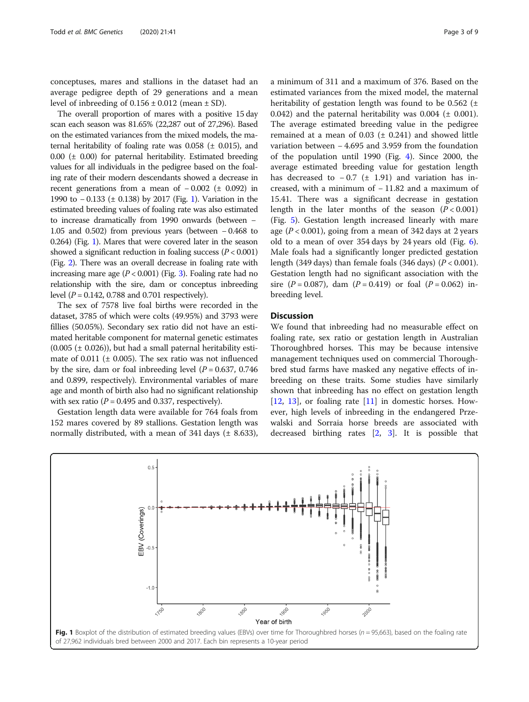<span id="page-2-0"></span>conceptuses, mares and stallions in the dataset had an average pedigree depth of 29 generations and a mean level of inbreeding of  $0.156 \pm 0.012$  (mean  $\pm$  SD).

The overall proportion of mares with a positive 15 day scan each season was 81.65% (22,287 out of 27,296). Based on the estimated variances from the mixed models, the maternal heritability of foaling rate was  $0.058$  ( $\pm$  0.015), and  $0.00$  ( $\pm$  0.00) for paternal heritability. Estimated breeding values for all individuals in the pedigree based on the foaling rate of their modern descendants showed a decrease in recent generations from a mean of  $-0.002$  ( $\pm 0.092$ ) in 1990 to − 0.133 (± 0.138) by 2017 (Fig. 1). Variation in the estimated breeding values of foaling rate was also estimated to increase dramatically from 1990 onwards (between − 1.05 and 0.502) from previous years (between − 0.468 to 0.264) (Fig. 1). Mares that were covered later in the season showed a significant reduction in foaling success  $(P < 0.001)$ (Fig. [2\)](#page-3-0). There was an overall decrease in foaling rate with increasing mare age  $(P < 0.001)$  (Fig. [3\)](#page-3-0). Foaling rate had no relationship with the sire, dam or conceptus inbreeding level ( $P = 0.142$ , 0.788 and 0.701 respectively).

The sex of 7578 live foal births were recorded in the dataset, 3785 of which were colts (49.95%) and 3793 were fillies (50.05%). Secondary sex ratio did not have an estimated heritable component for maternal genetic estimates  $(0.005 \, (\pm \, 0.026))$ , but had a small paternal heritability estimate of 0.011 ( $\pm$  0.005). The sex ratio was not influenced by the sire, dam or foal inbreeding level  $(P = 0.637, 0.746)$ and 0.899, respectively). Environmental variables of mare age and month of birth also had no significant relationship with sex ratio ( $P = 0.495$  and 0.337, respectively).

Gestation length data were available for 764 foals from 152 mares covered by 89 stallions. Gestation length was normally distributed, with a mean of 341 days  $(\pm 8.633)$ ,

a minimum of 311 and a maximum of 376. Based on the estimated variances from the mixed model, the maternal heritability of gestation length was found to be  $0.562$  ( $\pm$ 0.042) and the paternal heritability was  $0.004$  ( $\pm$  0.001). The average estimated breeding value in the pedigree remained at a mean of  $0.03$  ( $\pm$  0.241) and showed little variation between − 4.695 and 3.959 from the foundation of the population until 1990 (Fig. [4\)](#page-4-0). Since 2000, the average estimated breeding value for gestation length has decreased to  $-0.7$  ( $\pm$  1.91) and variation has increased, with a minimum of − 11.82 and a maximum of 15.41. There was a significant decrease in gestation length in the later months of the season  $(P < 0.001)$ (Fig. [5](#page-4-0)). Gestation length increased linearly with mare age ( $P < 0.001$ ), going from a mean of 342 days at 2 years old to a mean of over 354 days by 24 years old (Fig. [6](#page-5-0)). Male foals had a significantly longer predicted gestation length (349 days) than female foals (346 days) ( $P < 0.001$ ). Gestation length had no significant association with the sire ( $P = 0.087$ ), dam ( $P = 0.419$ ) or foal ( $P = 0.062$ ) inbreeding level.

# **Discussion**

We found that inbreeding had no measurable effect on foaling rate, sex ratio or gestation length in Australian Thoroughbred horses. This may be because intensive management techniques used on commercial Thoroughbred stud farms have masked any negative effects of inbreeding on these traits. Some studies have similarly shown that inbreeding has no effect on gestation length  $[12, 13]$  $[12, 13]$  $[12, 13]$  $[12, 13]$  $[12, 13]$ , or foaling rate  $[11]$  in domestic horses. However, high levels of inbreeding in the endangered Przewalski and Sorraia horse breeds are associated with decreased birthing rates  $[2, 3]$  $[2, 3]$  $[2, 3]$ . It is possible that

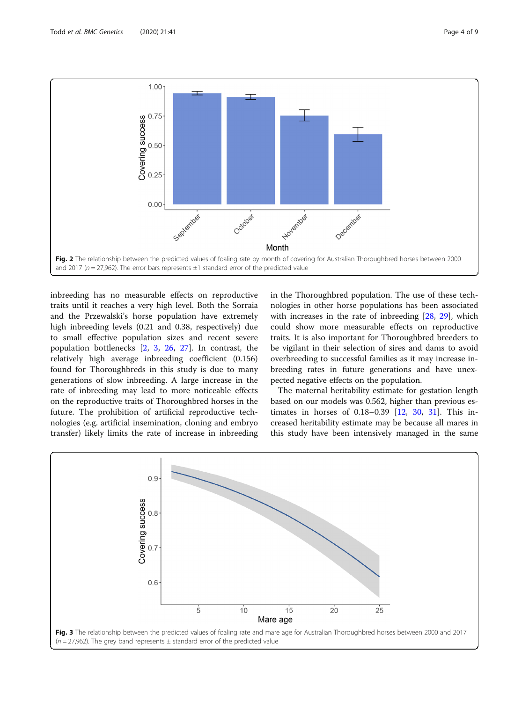<span id="page-3-0"></span>

inbreeding has no measurable effects on reproductive traits until it reaches a very high level. Both the Sorraia and the Przewalski's horse population have extremely high inbreeding levels (0.21 and 0.38, respectively) due to small effective population sizes and recent severe population bottlenecks [[2,](#page-8-0) [3](#page-8-0), [26](#page-8-0), [27\]](#page-8-0). In contrast, the relatively high average inbreeding coefficient (0.156) found for Thoroughbreds in this study is due to many generations of slow inbreeding. A large increase in the rate of inbreeding may lead to more noticeable effects on the reproductive traits of Thoroughbred horses in the future. The prohibition of artificial reproductive technologies (e.g. artificial insemination, cloning and embryo transfer) likely limits the rate of increase in inbreeding

in the Thoroughbred population. The use of these technologies in other horse populations has been associated with increases in the rate of inbreeding [[28,](#page-8-0) [29\]](#page-8-0), which could show more measurable effects on reproductive traits. It is also important for Thoroughbred breeders to be vigilant in their selection of sires and dams to avoid overbreeding to successful families as it may increase inbreeding rates in future generations and have unexpected negative effects on the population.

The maternal heritability estimate for gestation length based on our models was 0.562, higher than previous estimates in horses of 0.18–0.39 [\[12](#page-8-0), [30,](#page-8-0) [31](#page-8-0)]. This increased heritability estimate may be because all mares in this study have been intensively managed in the same

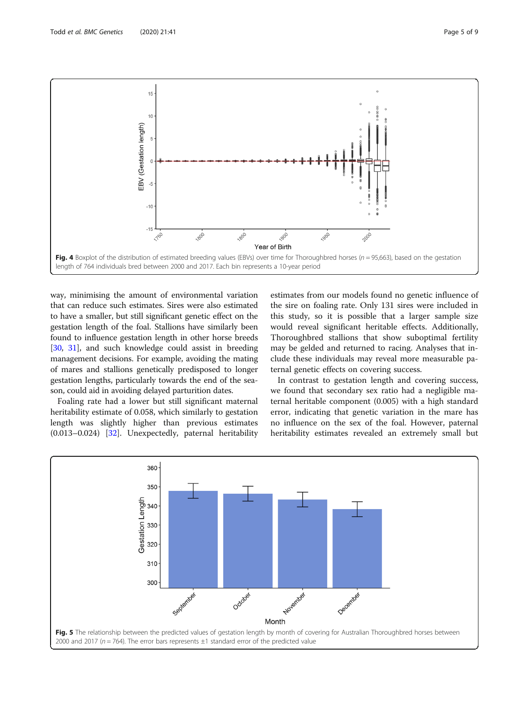<span id="page-4-0"></span>

way, minimising the amount of environmental variation that can reduce such estimates. Sires were also estimated to have a smaller, but still significant genetic effect on the gestation length of the foal. Stallions have similarly been found to influence gestation length in other horse breeds [[30](#page-8-0), [31](#page-8-0)], and such knowledge could assist in breeding management decisions. For example, avoiding the mating of mares and stallions genetically predisposed to longer gestation lengths, particularly towards the end of the season, could aid in avoiding delayed parturition dates.

Foaling rate had a lower but still significant maternal heritability estimate of 0.058, which similarly to gestation length was slightly higher than previous estimates (0.013–0.024) [[32\]](#page-8-0). Unexpectedly, paternal heritability estimates from our models found no genetic influence of the sire on foaling rate. Only 131 sires were included in this study, so it is possible that a larger sample size would reveal significant heritable effects. Additionally, Thoroughbred stallions that show suboptimal fertility may be gelded and returned to racing. Analyses that include these individuals may reveal more measurable paternal genetic effects on covering success.

In contrast to gestation length and covering success, we found that secondary sex ratio had a negligible maternal heritable component (0.005) with a high standard error, indicating that genetic variation in the mare has no influence on the sex of the foal. However, paternal heritability estimates revealed an extremely small but

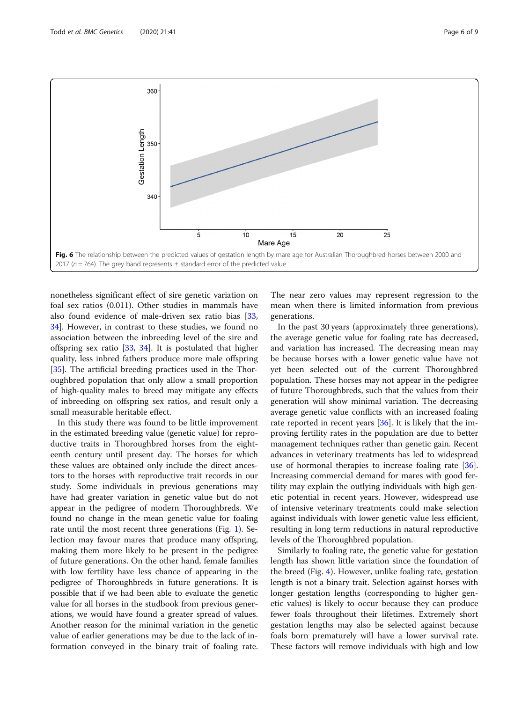<span id="page-5-0"></span>

nonetheless significant effect of sire genetic variation on foal sex ratios (0.011). Other studies in mammals have also found evidence of male-driven sex ratio bias [[33](#page-8-0), [34\]](#page-8-0). However, in contrast to these studies, we found no association between the inbreeding level of the sire and offspring sex ratio [[33,](#page-8-0) [34\]](#page-8-0). It is postulated that higher quality, less inbred fathers produce more male offspring [[35\]](#page-8-0). The artificial breeding practices used in the Thoroughbred population that only allow a small proportion of high-quality males to breed may mitigate any effects of inbreeding on offspring sex ratios, and result only a small measurable heritable effect.

In this study there was found to be little improvement in the estimated breeding value (genetic value) for reproductive traits in Thoroughbred horses from the eighteenth century until present day. The horses for which these values are obtained only include the direct ancestors to the horses with reproductive trait records in our study. Some individuals in previous generations may have had greater variation in genetic value but do not appear in the pedigree of modern Thoroughbreds. We found no change in the mean genetic value for foaling rate until the most recent three generations (Fig. [1\)](#page-2-0). Selection may favour mares that produce many offspring, making them more likely to be present in the pedigree of future generations. On the other hand, female families with low fertility have less chance of appearing in the pedigree of Thoroughbreds in future generations. It is possible that if we had been able to evaluate the genetic value for all horses in the studbook from previous generations, we would have found a greater spread of values. Another reason for the minimal variation in the genetic value of earlier generations may be due to the lack of information conveyed in the binary trait of foaling rate.

The near zero values may represent regression to the mean when there is limited information from previous generations.

In the past 30 years (approximately three generations), the average genetic value for foaling rate has decreased, and variation has increased. The decreasing mean may be because horses with a lower genetic value have not yet been selected out of the current Thoroughbred population. These horses may not appear in the pedigree of future Thoroughbreds, such that the values from their generation will show minimal variation. The decreasing average genetic value conflicts with an increased foaling rate reported in recent years [[36\]](#page-8-0). It is likely that the improving fertility rates in the population are due to better management techniques rather than genetic gain. Recent advances in veterinary treatments has led to widespread use of hormonal therapies to increase foaling rate [\[36](#page-8-0)]. Increasing commercial demand for mares with good fertility may explain the outlying individuals with high genetic potential in recent years. However, widespread use of intensive veterinary treatments could make selection against individuals with lower genetic value less efficient, resulting in long term reductions in natural reproductive levels of the Thoroughbred population.

Similarly to foaling rate, the genetic value for gestation length has shown little variation since the foundation of the breed (Fig. [4](#page-4-0)). However, unlike foaling rate, gestation length is not a binary trait. Selection against horses with longer gestation lengths (corresponding to higher genetic values) is likely to occur because they can produce fewer foals throughout their lifetimes. Extremely short gestation lengths may also be selected against because foals born prematurely will have a lower survival rate. These factors will remove individuals with high and low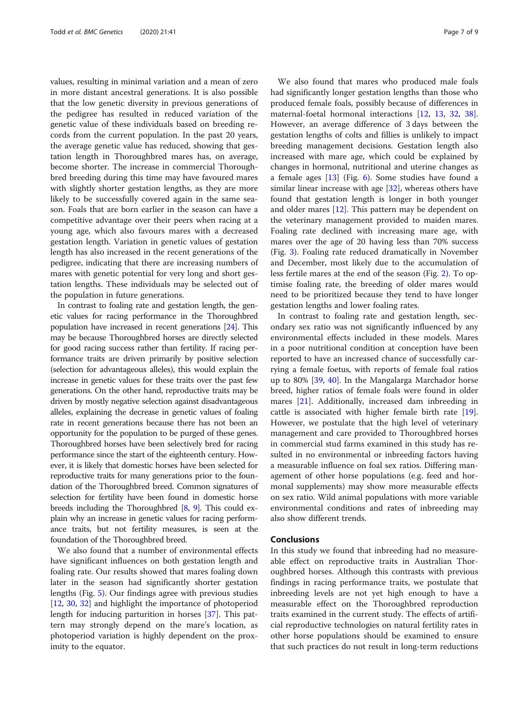values, resulting in minimal variation and a mean of zero in more distant ancestral generations. It is also possible that the low genetic diversity in previous generations of the pedigree has resulted in reduced variation of the genetic value of these individuals based on breeding records from the current population. In the past 20 years, the average genetic value has reduced, showing that gestation length in Thoroughbred mares has, on average, become shorter. The increase in commercial Thoroughbred breeding during this time may have favoured mares with slightly shorter gestation lengths, as they are more likely to be successfully covered again in the same season. Foals that are born earlier in the season can have a competitive advantage over their peers when racing at a young age, which also favours mares with a decreased gestation length. Variation in genetic values of gestation length has also increased in the recent generations of the pedigree, indicating that there are increasing numbers of mares with genetic potential for very long and short gestation lengths. These individuals may be selected out of the population in future generations.

In contrast to foaling rate and gestation length, the genetic values for racing performance in the Thoroughbred population have increased in recent generations [\[24](#page-8-0)]. This may be because Thoroughbred horses are directly selected for good racing success rather than fertility. If racing performance traits are driven primarily by positive selection (selection for advantageous alleles), this would explain the increase in genetic values for these traits over the past few generations. On the other hand, reproductive traits may be driven by mostly negative selection against disadvantageous alleles, explaining the decrease in genetic values of foaling rate in recent generations because there has not been an opportunity for the population to be purged of these genes. Thoroughbred horses have been selectively bred for racing performance since the start of the eighteenth century. However, it is likely that domestic horses have been selected for reproductive traits for many generations prior to the foundation of the Thoroughbred breed. Common signatures of selection for fertility have been found in domestic horse breeds including the Thoroughbred [\[8,](#page-8-0) [9](#page-8-0)]. This could explain why an increase in genetic values for racing performance traits, but not fertility measures, is seen at the foundation of the Thoroughbred breed.

We also found that a number of environmental effects have significant influences on both gestation length and foaling rate. Our results showed that mares foaling down later in the season had significantly shorter gestation lengths (Fig. [5\)](#page-4-0). Our findings agree with previous studies [[12,](#page-8-0) [30,](#page-8-0) [32\]](#page-8-0) and highlight the importance of photoperiod length for inducing parturition in horses [\[37](#page-8-0)]. This pattern may strongly depend on the mare's location, as photoperiod variation is highly dependent on the proximity to the equator.

We also found that mares who produced male foals had significantly longer gestation lengths than those who produced female foals, possibly because of differences in maternal-foetal hormonal interactions [[12,](#page-8-0) [13](#page-8-0), [32](#page-8-0), [38](#page-8-0)]. However, an average difference of 3 days between the gestation lengths of colts and fillies is unlikely to impact breeding management decisions. Gestation length also increased with mare age, which could be explained by changes in hormonal, nutritional and uterine changes as a female ages [\[13](#page-8-0)] (Fig. [6\)](#page-5-0). Some studies have found a similar linear increase with age [[32\]](#page-8-0), whereas others have found that gestation length is longer in both younger and older mares [[12](#page-8-0)]. This pattern may be dependent on the veterinary management provided to maiden mares. Foaling rate declined with increasing mare age, with mares over the age of 20 having less than 70% success (Fig. [3](#page-3-0)). Foaling rate reduced dramatically in November and December, most likely due to the accumulation of less fertile mares at the end of the season (Fig. [2\)](#page-3-0). To optimise foaling rate, the breeding of older mares would need to be prioritized because they tend to have longer gestation lengths and lower foaling rates.

In contrast to foaling rate and gestation length, secondary sex ratio was not significantly influenced by any environmental effects included in these models. Mares in a poor nutritional condition at conception have been reported to have an increased chance of successfully carrying a female foetus, with reports of female foal ratios up to 80% [[39,](#page-8-0) [40\]](#page-8-0). In the Mangalarga Marchador horse breed, higher ratios of female foals were found in older mares [[21](#page-8-0)]. Additionally, increased dam inbreeding in cattle is associated with higher female birth rate [\[19](#page-8-0)]. However, we postulate that the high level of veterinary management and care provided to Thoroughbred horses in commercial stud farms examined in this study has resulted in no environmental or inbreeding factors having a measurable influence on foal sex ratios. Differing management of other horse populations (e.g. feed and hormonal supplements) may show more measurable effects on sex ratio. Wild animal populations with more variable environmental conditions and rates of inbreeding may also show different trends.

# Conclusions

In this study we found that inbreeding had no measureable effect on reproductive traits in Australian Thoroughbred horses. Although this contrasts with previous findings in racing performance traits, we postulate that inbreeding levels are not yet high enough to have a measurable effect on the Thoroughbred reproduction traits examined in the current study. The effects of artificial reproductive technologies on natural fertility rates in other horse populations should be examined to ensure that such practices do not result in long-term reductions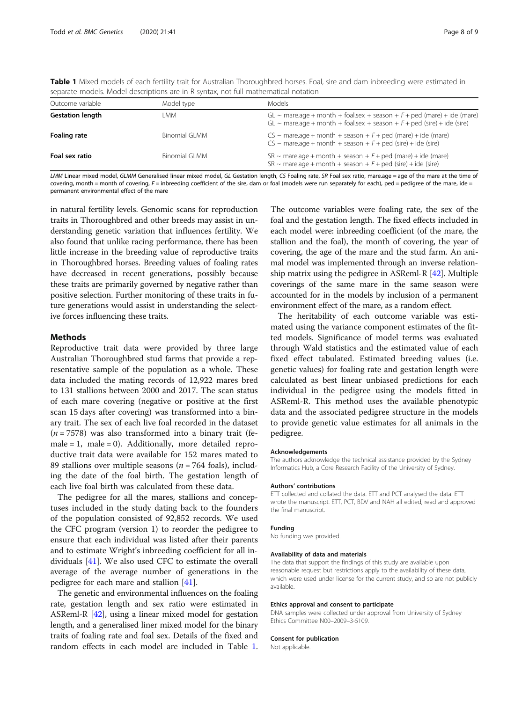| Outcome variable        | Model type           | <b>Models</b>                                                                                                                                          |
|-------------------------|----------------------|--------------------------------------------------------------------------------------------------------------------------------------------------------|
| <b>Gestation length</b> | I MM                 | GL ~ mare.age + month + foal.sex + season + $F$ + ped (mare) + ide (mare)<br>GL ~ mare.age + month + foal.sex + season + $F$ + ped (sire) + ide (sire) |
| Foaling rate            | <b>Binomial GLMM</b> | $CS \sim$ mare.age + month + season + $F$ + ped (mare) + ide (mare)<br>$CS \sim$ mare.age + month + season + $F$ + ped (sire) + ide (sire)             |
| Foal sex ratio          | Binomial GLMM        | SR ~ mare.age + month + season + $F$ + ped (mare) + ide (mare)<br>SR ~ mare.age + month + season + $F$ + ped (sire) + ide (sire)                       |

Table 1 Mixed models of each fertility trait for Australian Thoroughbred horses. Foal, sire and dam inbreeding were estimated in separate models. Model descriptions are in R syntax, not full mathematical notation

LMM Linear mixed model, GLMM Generalised linear mixed model, GL Gestation length, CS Foaling rate, SR Foal sex ratio, mare.age = age of the mare at the time of covering, month = month of covering,  $F =$  inbreeding coefficient of the sire, dam or foal (models were run separately for each), ped = pedigree of the mare, ide = permanent environmental effect of the mare

in natural fertility levels. Genomic scans for reproduction traits in Thoroughbred and other breeds may assist in understanding genetic variation that influences fertility. We also found that unlike racing performance, there has been little increase in the breeding value of reproductive traits in Thoroughbred horses. Breeding values of foaling rates have decreased in recent generations, possibly because these traits are primarily governed by negative rather than positive selection. Further monitoring of these traits in future generations would assist in understanding the selective forces influencing these traits.

#### Methods

Reproductive trait data were provided by three large Australian Thoroughbred stud farms that provide a representative sample of the population as a whole. These data included the mating records of 12,922 mares bred to 131 stallions between 2000 and 2017. The scan status of each mare covering (negative or positive at the first scan 15 days after covering) was transformed into a binary trait. The sex of each live foal recorded in the dataset  $(n = 7578)$  was also transformed into a binary trait (female =  $1$ , male =  $0$ ). Additionally, more detailed reproductive trait data were available for 152 mares mated to 89 stallions over multiple seasons ( $n = 764$  foals), including the date of the foal birth. The gestation length of each live foal birth was calculated from these data.

The pedigree for all the mares, stallions and conceptuses included in the study dating back to the founders of the population consisted of 92,852 records. We used the CFC program (version 1) to reorder the pedigree to ensure that each individual was listed after their parents and to estimate Wright's inbreeding coefficient for all individuals [\[41](#page-8-0)]. We also used CFC to estimate the overall average of the average number of generations in the pedigree for each mare and stallion [\[41](#page-8-0)].

The genetic and environmental influences on the foaling rate, gestation length and sex ratio were estimated in ASReml-R [\[42](#page-8-0)], using a linear mixed model for gestation length, and a generalised liner mixed model for the binary traits of foaling rate and foal sex. Details of the fixed and random effects in each model are included in Table 1. The outcome variables were foaling rate, the sex of the foal and the gestation length. The fixed effects included in each model were: inbreeding coefficient (of the mare, the stallion and the foal), the month of covering, the year of covering, the age of the mare and the stud farm. An animal model was implemented through an inverse relationship matrix using the pedigree in ASReml-R [[42\]](#page-8-0). Multiple coverings of the same mare in the same season were accounted for in the models by inclusion of a permanent environment effect of the mare, as a random effect.

The heritability of each outcome variable was estimated using the variance component estimates of the fitted models. Significance of model terms was evaluated through Wald statistics and the estimated value of each fixed effect tabulated. Estimated breeding values (i.e. genetic values) for foaling rate and gestation length were calculated as best linear unbiased predictions for each individual in the pedigree using the models fitted in ASReml-R. This method uses the available phenotypic data and the associated pedigree structure in the models to provide genetic value estimates for all animals in the pedigree.

#### Acknowledgements

The authors acknowledge the technical assistance provided by the Sydney Informatics Hub, a Core Research Facility of the University of Sydney.

#### Authors' contributions

ETT collected and collated the data. ETT and PCT analysed the data. ETT wrote the manuscript. ETT, PCT, BDV and NAH all edited, read and approved the final manuscript.

#### Funding

No funding was provided.

#### Availability of data and materials

The data that support the findings of this study are available upon reasonable request but restrictions apply to the availability of these data, which were used under license for the current study, and so are not publicly available.

#### Ethics approval and consent to participate

DNA samples were collected under approval from University of Sydney Ethics Committee N00–2009–3-5109.

#### Consent for publication

Not applicable.